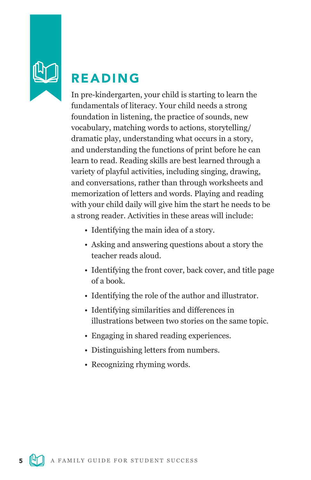

# READING

In pre-kindergarten, your child is starting to learn the fundamentals of literacy. Your child needs a strong foundation in listening, the practice of sounds, new vocabulary, matching words to actions, storytelling/ dramatic play, understanding what occurs in a story, and understanding the functions of print before he can learn to read. Reading skills are best learned through a variety of playful activities, including singing, drawing, and conversations, rather than through worksheets and memorization of letters and words. Playing and reading with your child daily will give him the start he needs to be a strong reader. Activities in these areas will include:

- Identifying the main idea of a story.
- Asking and answering questions about a story the teacher reads aloud.
- Identifying the front cover, back cover, and title page of a book.
- Identifying the role of the author and illustrator.
- Identifying similarities and differences in illustrations between two stories on the same topic.
- Engaging in shared reading experiences.
- Distinguishing letters from numbers.
- Recognizing rhyming words.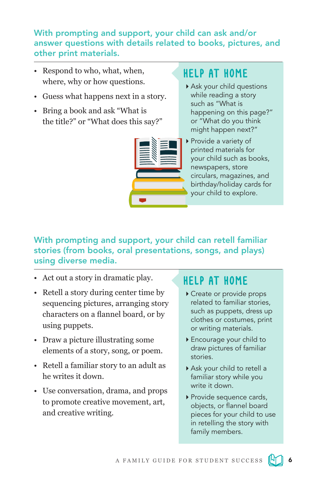With prompting and support, your child can ask and/or answer questions with details related to books, pictures, and other print materials.

- Respond to who, what, when, where, why or how questions.
- Guess what happens next in a story.
- Bring a book and ask "What is the title?" or "What does this say?"

# HELP AT HOME

- Ask your child questions while reading a story such as "What is happening on this page?" or "What do you think might happen next?"
- ▶ Provide a variety of printed materials for your child such as books, newspapers, store circulars, magazines, and birthday/holiday cards for your child to explore.

### With prompting and support, your child can retell familiar stories (from books, oral presentations, songs, and plays) using diverse media.

- Act out a story in dramatic play.
- Retell a story during center time by sequencing pictures, arranging story characters on a flannel board, or by using puppets.
- Draw a picture illustrating some elements of a story, song, or poem.
- Retell a familiar story to an adult as he writes it down.
- Use conversation, drama, and props to promote creative movement, art, and creative writing.

- Create or provide props related to familiar stories, such as puppets, dress up clothes or costumes, print or writing materials.
- Encourage your child to draw pictures of familiar stories.
- Ask your child to retell a familiar story while you write it down.
- Provide sequence cards, objects, or flannel board pieces for your child to use in retelling the story with family members.

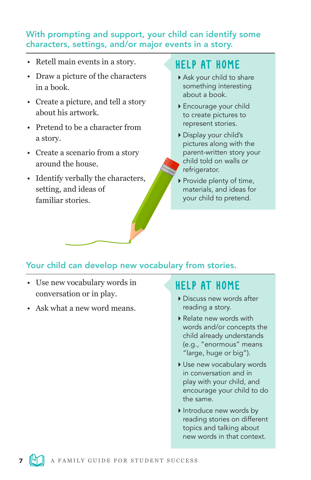### With prompting and support, your child can identify some characters, settings, and/or major events in a story.

- Retell main events in a story.
- Draw a picture of the characters in a book.
- Create a picture, and tell a story about his artwork.
- Pretend to be a character from a story.
- Create a scenario from a story around the house.
- Identify verbally the characters, setting, and ideas of familiar stories.

# HELP AT HOME

- Ask your child to share something interesting about a book.
- Encourage your child to create pictures to represent stories.
- Display your child's pictures along with the parent-written story your child told on walls or refrigerator.
- ▶ Provide plenty of time, materials, and ideas for your child to pretend.

### Your child can develop new vocabulary from stories.

- Use new vocabulary words in conversation or in play.
- Ask what a new word means.

- Discuss new words after reading a story.
- Relate new words with words and/or concepts the child already understands (e.g., "enormous" means "large, huge or big").
- ▶ Use new vocabulary words in conversation and in play with your child, and encourage your child to do the same.
- Introduce new words by reading stories on different topics and talking about new words in that context.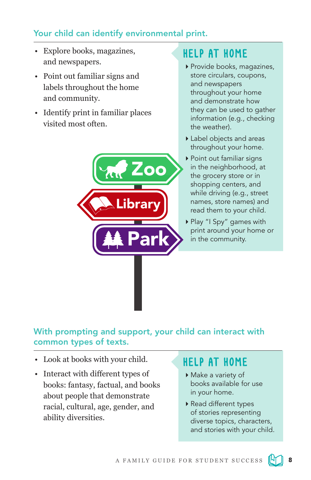## Your child can identify environmental print.

- Explore books, magazines, and newspapers.
- Point out familiar signs and labels throughout the home and community.
- Identify print in familiar places visited most often.

# HELP AT HOME

- Provide books, magazines, store circulars, coupons, and newspapers throughout your home and demonstrate how they can be used to gather information (e.g., checking the weather).
- Label objects and areas throughout your home.
- ▶ Point out familiar signs in the neighborhood, at the grocery store or in shopping centers, and while driving (e.g., street names, store names) and read them to your child.
- Play "I Spy" games with print around your home or in the community.

### With prompting and support, your child can interact with common types of texts.

Zoo

Park

brary

- Look at books with your child.
- Interact with different types of books: fantasy, factual, and books about people that demonstrate racial, cultural, age, gender, and ability diversities.

- Make a variety of books available for use in your home.
- Read different types of stories representing diverse topics, characters, and stories with your child.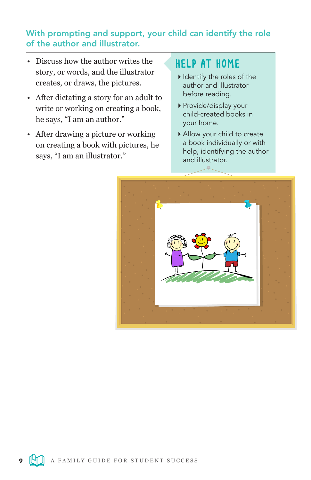### With prompting and support, your child can identify the role of the author and illustrator.

- Discuss how the author writes the story, or words, and the illustrator creates, or draws, the pictures.
- After dictating a story for an adult to write or working on creating a book, he says, "I am an author."
- After drawing a picture or working on creating a book with pictures, he says, "I am an illustrator."

- I I dentify the roles of the author and illustrator before reading.
- Provide/display your child-created books in your home.
- Allow your child to create a book individually or with help, identifying the author and illustrator.

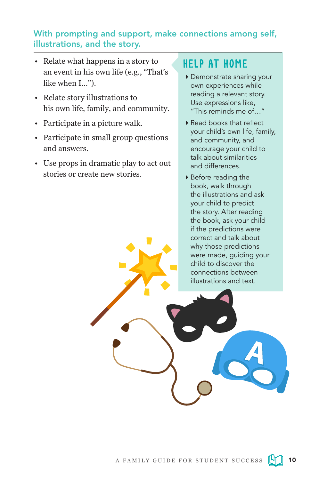### With prompting and support, make connections among self, illustrations, and the story.

- Relate what happens in a story to an event in his own life (e.g., "That's like when I…").
- Relate story illustrations to his own life, family, and community.
- Participate in a picture walk.
- Participate in small group questions and answers.
- Use props in dramatic play to act out stories or create new stories.

- Demonstrate sharing your own experiences while reading a relevant story. Use expressions like, "This reminds me of…"
- Read books that reflect your child's own life, family, and community, and encourage your child to talk about similarities and differences.
- Before reading the book, walk through the illustrations and ask your child to predict the story. After reading the book, ask your child if the predictions were correct and talk about why those predictions were made, guiding your child to discover the connections between illustrations and text.

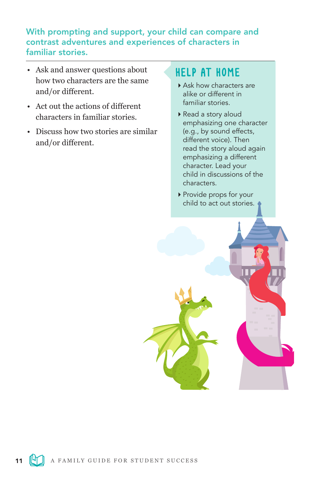### With prompting and support, your child can compare and contrast adventures and experiences of characters in familiar stories.

- Ask and answer questions about how two characters are the same and/or different.
- Act out the actions of different characters in familiar stories.
- Discuss how two stories are similar and/or different.

- Ask how characters are alike or different in familiar stories.
- Read a story aloud emphasizing one character (e.g., by sound effects, different voice). Then read the story aloud again emphasizing a different character. Lead your child in discussions of the characters.
- Provide props for your child to act out stories.

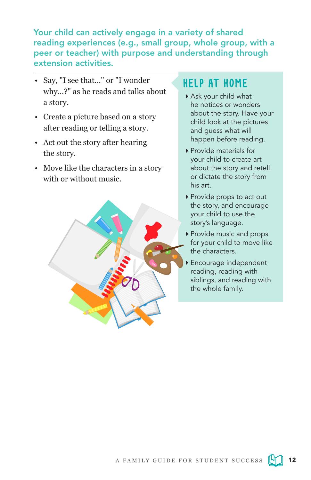Your child can actively engage in a variety of shared reading experiences (e.g., small group, whole group, with a peer or teacher) with purpose and understanding through extension activities.

- Say, "I see that…" or "I wonder why…?" as he reads and talks about a story.
- Create a picture based on a story after reading or telling a story.
- Act out the story after hearing the story.
- Move like the characters in a story with or without music.



- Ask your child what he notices or wonders about the story. Have your child look at the pictures and guess what will happen before reading.
- Provide materials for your child to create art about the story and retell or dictate the story from his art.
- ▶ Provide props to act out the story, and encourage your child to use the story's language.
- ▶ Provide music and props for your child to move like the characters.
- Encourage independent reading, reading with siblings, and reading with the whole family.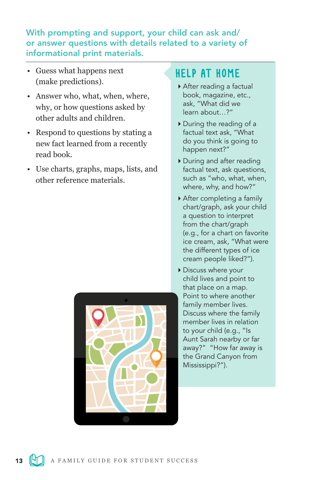### With prompting and support, your child can ask and/ or answer questions with details related to a variety of informational print materials.

- Guess what happens next (make predictions).
- Answer who, what, when, where, why, or how questions asked by other adults and children.
- Respond to questions by stating a new fact learned from a recently read book.
- Use charts, graphs, maps, lists, and other reference materials.



- After reading a factual book, magazine, etc., ask, "What did we learn about…?"
- During the reading of a factual text ask, "What do you think is going to happen next?"
- During and after reading factual text, ask questions, such as "who, what, when, where, why, and how?"
- After completing a family chart/graph, ask your child a question to interpret from the chart/graph (e.g., for a chart on favorite ice cream, ask, "What were the different types of ice cream people liked?").
- Discuss where your child lives and point to that place on a map. Point to where another family member lives. Discuss where the family member lives in relation to your child (e.g., "Is Aunt Sarah nearby or far away?" "How far away is the Grand Canyon from Mississippi?").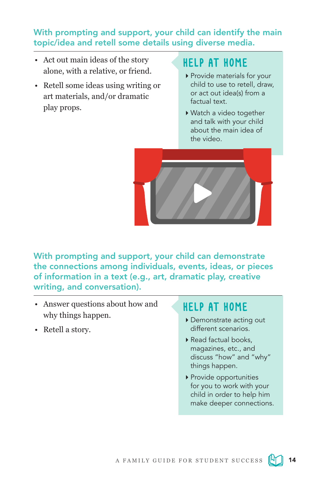### With prompting and support, your child can identify the main topic/idea and retell some details using diverse media.

- Act out main ideas of the story alone, with a relative, or friend.
- Retell some ideas using writing or art materials, and/or dramatic play props.

# HELP AT HOME

- ▶ Provide materials for your child to use to retell, draw, or act out idea(s) from a factual text.
- Watch a video together and talk with your child about the main idea of the video.



With prompting and support, your child can demonstrate the connections among individuals, events, ideas, or pieces of information in a text (e.g., art, dramatic play, creative writing, and conversation).

- Answer questions about how and why things happen.
- Retell a story.

- Demonstrate acting out different scenarios.
- Read factual books, magazines, etc., and discuss "how" and "why" things happen.
- Provide opportunities for you to work with your child in order to help him make deeper connections.

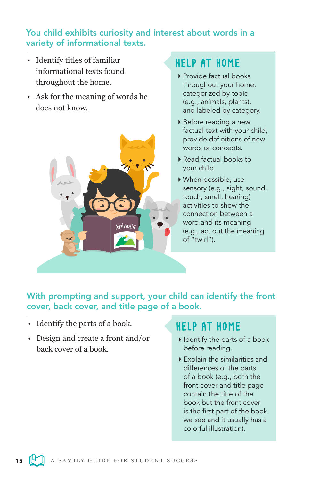### You child exhibits curiosity and interest about words in a variety of informational texts.

- Identify titles of familiar informational texts found throughout the home.
- Ask for the meaning of words he does not know.



## HELP AT HOME

- ▶ Provide factual books throughout your home, categorized by topic (e.g., animals, plants), and labeled by category.
- Before reading a new factual text with your child, provide definitions of new words or concepts.
- Read factual books to your child.
- When possible, use sensory (e.g., sight, sound, touch, smell, hearing) activities to show the connection between a word and its meaning (e.g., act out the meaning of "twirl").

With prompting and support, your child can identify the front cover, back cover, and title page of a book.

- Identify the parts of a book.
- Design and create a front and/or back cover of a book.

- $\blacktriangleright$  Identify the parts of a book before reading.
- Explain the similarities and differences of the parts of a book (e.g., both the front cover and title page contain the title of the book but the front cover is the first part of the book we see and it usually has a colorful illustration).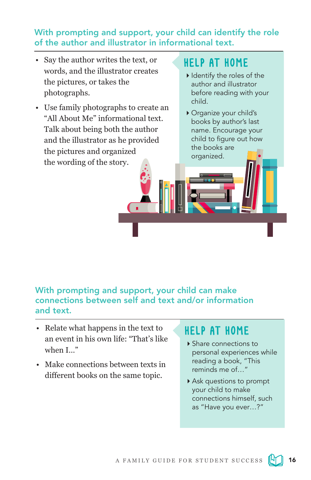### With prompting and support, your child can identify the role of the author and illustrator in informational text.

- Say the author writes the text, or words, and the illustrator creates the pictures, or takes the photographs.
- Use family photographs to create an "All About Me" informational text. Talk about being both the author and the illustrator as he provided the pictures and organized the wording of the story.

# HELP AT HOME

- $\blacktriangleright$  Identify the roles of the author and illustrator before reading with your child.
- Organize your child's books by author's last name. Encourage your child to figure out how the books are organized.

## With prompting and support, your child can make connections between self and text and/or information and text.

- Relate what happens in the text to an event in his own life: "That's like when I…"
- Make connections between texts in different books on the same topic.

- ▶ Share connections to personal experiences while reading a book, "This reminds me of  $\mu$
- Ask questions to prompt your child to make connections himself, such as "Have you ever…?"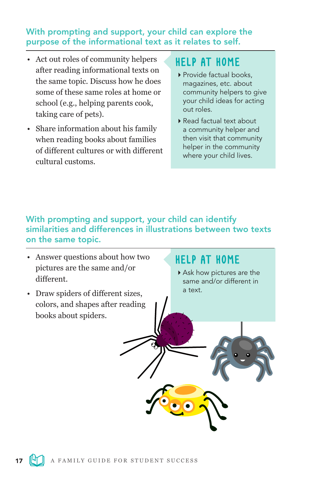### With prompting and support, your child can explore the purpose of the informational text as it relates to self.

- Act out roles of community helpers after reading informational texts on the same topic. Discuss how he does some of these same roles at home or school (e.g., helping parents cook, taking care of pets).
- Share information about his family when reading books about families of different cultures or with different cultural customs.

## HELP AT HOME

- Provide factual books, magazines, etc. about community helpers to give your child ideas for acting out roles.
- Read factual text about a community helper and then visit that community helper in the community where your child lives.

## With prompting and support, your child can identify similarities and differences in illustrations between two texts on the same topic.

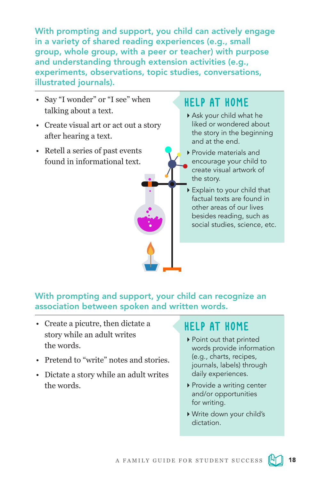With prompting and support, you child can actively engage in a variety of shared reading experiences (e.g., small group, whole group, with a peer or teacher) with purpose and understanding through extension activities (e.g., experiments, observations, topic studies, conversations, illustrated journals).

- Say "I wonder" or "I see" when talking about a text.
- Create visual art or act out a story after hearing a text.
- Retell a series of past events found in informational text.

## HELP AT HOME

- Ask your child what he liked or wondered about the story in the beginning and at the end.
- Provide materials and encourage your child to create visual artwork of the story.
- Explain to your child that factual texts are found in other areas of our lives besides reading, such as social studies, science, etc.

With prompting and support, your child can recognize an association between spoken and written words.

- Create a picutre, then dictate a story while an adult writes the words.
- Pretend to "write" notes and stories.
- Dictate a story while an adult writes the words.

- ▶ Point out that printed words provide information (e.g., charts, recipes, journals, labels) through daily experiences.
- ▶ Provide a writing center and/or opportunities for writing.
- Write down your child's dictation.

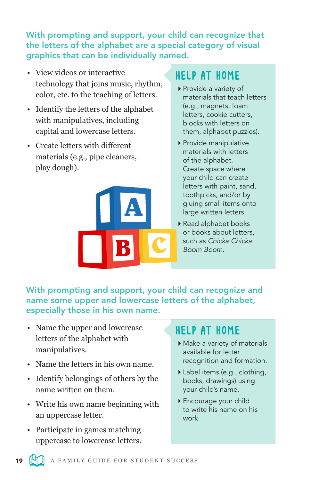### With prompting and support, your child can recognize that the letters of the alphabet are a special category of visual graphics that can be individually named.

- View videos or interactive technology that joins music, rhythm, color, etc. to the teaching of letters.
- Identify the letters of the alphabet with manipulatives, including capital and lowercase letters.
- Create letters with different materials (e.g., pipe cleaners, play dough).



# HELP AT HOME

- Provide a variety of materials that teach letters (e.g., magnets, foam letters, cookie cutters, blocks with letters on them, alphabet puzzles).
- Provide manipulative materials with letters of the alphabet. Create space where your child can create letters with paint, sand, toothpicks, and/or by gluing small items onto large written letters.
- Read alphabet books or books about letters, such as *Chicka Chicka Boom Boom*.

With prompting and support, your child can recognize and name some upper and lowercase letters of the alphabet, especially those in his own name.

- Name the upper and lowercase letters of the alphabet with manipulatives.
- Name the letters in his own name.
- Identify belongings of others by the name written on them.
- Write his own name beginning with an uppercase letter.
- Participate in games matching uppercase to lowercase letters.

- Make a variety of materials available for letter recognition and formation.
- Label items (e.g., clothing, books, drawings) using your child's name.
- Encourage your child to write his name on his work.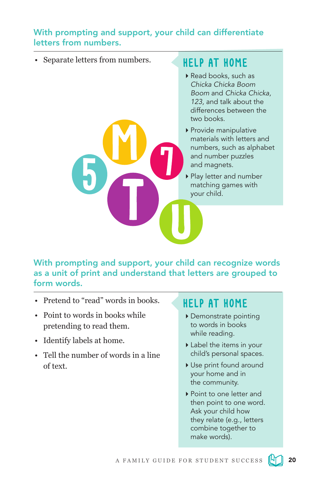### With prompting and support, your child can differentiate letters from numbers.

• Separate letters from numbers.

# HELP AT HOME

- Read books, such as *Chicka Chicka Boom Boom* and *Chicka Chicka, 123,* and talk about the differences between the two books.
- Provide manipulative materials with letters and numbers, such as alphabet and number puzzles and magnets.
- Play letter and number matching games with your child.

With prompting and support, your child can recognize words as a unit of print and understand that letters are grouped to form words.

- Pretend to "read" words in books.
- Point to words in books while pretending to read them.
- Identify labels at home.
- Tell the number of words in a line of text.

- Demonstrate pointing to words in books while reading.
- Label the items in your child's personal spaces.
- Use print found around your home and in the community.
- ▶ Point to one letter and then point to one word. Ask your child how they relate (e.g., letters combine together to make words).

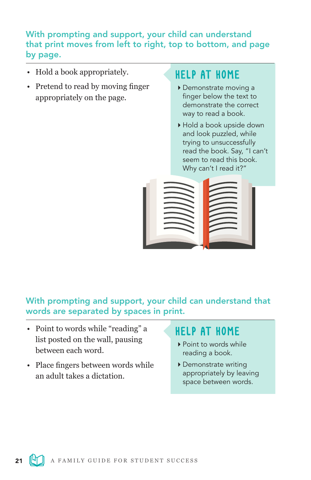### With prompting and support, your child can understand that print moves from left to right, top to bottom, and page by page.

- Hold a book appropriately.
- Pretend to read by moving finger appropriately on the page.

# HELP AT HOME

- Demonstrate moving a finger below the text to demonstrate the correct way to read a book.
- Hold a book upside down and look puzzled, while trying to unsuccessfully read the book. Say, "I can't seem to read this book. Why can't I read it?"



With prompting and support, your child can understand that words are separated by spaces in print.

- Point to words while "reading" a list posted on the wall, pausing between each word.
- Place fingers between words while an adult takes a dictation.

- Point to words while reading a book.
- Demonstrate writing appropriately by leaving space between words.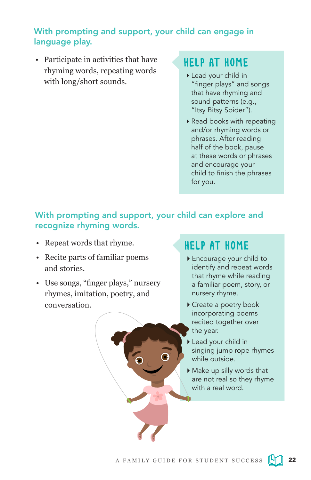### With prompting and support, your child can engage in language play.

• Participate in activities that have rhyming words, repeating words with long/short sounds.

## HELP AT HOME

- Lead your child in "finger plays" and songs that have rhyming and sound patterns (e.g., "Itsy Bitsy Spider").
- ▶ Read books with repeating and/or rhyming words or phrases. After reading half of the book, pause at these words or phrases and encourage your child to finish the phrases for you.

### With prompting and support, your child can explore and recognize rhyming words.

- Repeat words that rhyme.
- Recite parts of familiar poems and stories.
- Use songs, "finger plays," nursery rhymes, imitation, poetry, and conversation.

- Encourage your child to identify and repeat words that rhyme while reading a familiar poem, story, or nursery rhyme.
- Create a poetry book incorporating poems recited together over the year.
- Lead your child in singing jump rope rhymes while outside.
- Make up silly words that are not real so they rhyme with a real word.

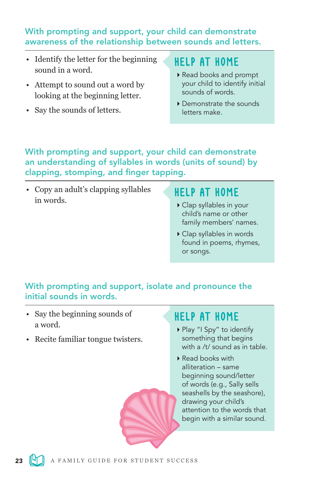### With prompting and support, your child can demonstrate awareness of the relationship between sounds and letters.

- Identify the letter for the beginning sound in a word.
- Attempt to sound out a word by looking at the beginning letter.
- Say the sounds of letters.

# HELP AT HOME

- Read books and prompt your child to identify initial sounds of words.
- Demonstrate the sounds letters make.

With prompting and support, your child can demonstrate an understanding of syllables in words (units of sound) by clapping, stomping, and finger tapping.

• Copy an adult's clapping syllables in words.

# HELP AT HOME

- Clap syllables in your child's name or other family members' names.
- Clap syllables in words found in poems, rhymes, or songs.

## With prompting and support, isolate and pronounce the initial sounds in words.

- Say the beginning sounds of a word.
- Recite familiar tongue twisters.

- ▶ Play "I Spy" to identify something that begins with a /t/ sound as in table.
- Read books with alliteration – same beginning sound/letter of words (e.g., Sally sells seashells by the seashore), drawing your child's attention to the words that begin with a similar sound.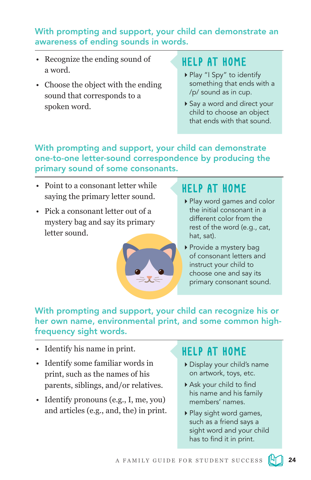### With prompting and support, your child can demonstrate an awareness of ending sounds in words.

- Recognize the ending sound of a word.
- Choose the object with the ending sound that corresponds to a spoken word.

# HELP AT HOME

- ▶ Play "I Spy" to identify something that ends with a /p/ sound as in cup.
- ▶ Say a word and direct your child to choose an object that ends with that sound.

### With prompting and support, your child can demonstrate one-to-one letter-sound correspondence by producing the primary sound of some consonants.

- Point to a consonant letter while saying the primary letter sound.
- Pick a consonant letter out of a mystery bag and say its primary letter sound.



# HELP AT HOME

- Play word games and color the initial consonant in a different color from the rest of the word (e.g., cat, hat, sat).
- ▶ Provide a mystery bag of consonant letters and instruct your child to choose one and say its primary consonant sound.

### With prompting and support, your child can recognize his or her own name, environmental print, and some common highfrequency sight words.

- Identify his name in print.
- Identify some familiar words in print, such as the names of his parents, siblings, and/or relatives.
- Identify pronouns (e.g., I, me, you) and articles (e.g., and, the) in print.

- Display your child's name on artwork, toys, etc.
- Ask your child to find his name and his family members' names.
- ▶ Play sight word games, such as a friend says a sight word and your child has to find it in print.